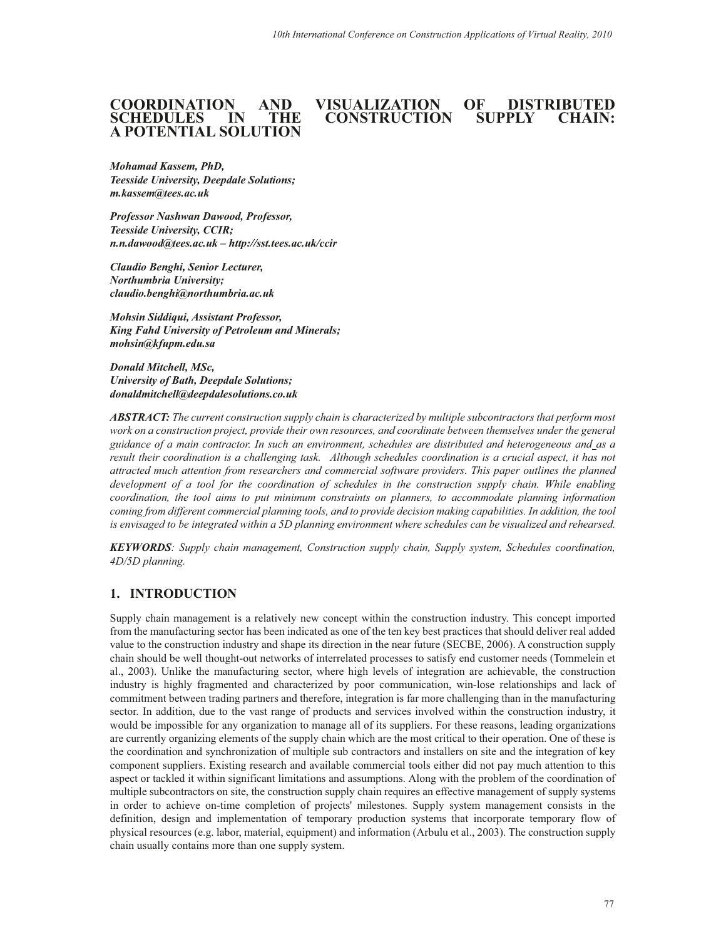## **COORDINATION AND VISUALIZATION OF DISTRIBUTED A POTENTIAL SOLUTION**

# **CONSTRUCTION**

*Mohamad Kassem, PhD, Teesside University, Deepdale Solutions; m.kassem@tees.ac.uk* 

*Professor Nashwan Dawood, Professor, Teesside University, CCIR; n.n.dawood@tees.ac.uk – http://sst.tees.ac.uk/ccir* 

*Claudio Benghi, Senior Lecturer, Northumbria University; claudio.benghi@northumbria.ac.uk* 

*Mohsin Siddiqui, Assistant Professor, King Fahd University of Petroleum and Minerals; mohsin@kfupm.edu.sa* 

*Donald Mitchell, MSc, University of Bath, Deepdale Solutions; donaldmitchell@deepdalesolutions.co.uk* 

*ABSTRACT: The current construction supply chain is characterized by multiple subcontractors that perform most work on a construction project, provide their own resources, and coordinate between themselves under the general guidance of a main contractor. In such an environment, schedules are distributed and heterogeneous and as a result their coordination is a challenging task. Although schedules coordination is a crucial aspect, it has not attracted much attention from researchers and commercial software providers. This paper outlines the planned*  development of a tool for the coordination of schedules in the construction supply chain. While enabling *coordination, the tool aims to put minimum constraints on planners, to accommodate planning information coming from different commercial planning tools, and to provide decision making capabilities. In addition, the tool is envisaged to be integrated within a 5D planning environment where schedules can be visualized and rehearsed.* 

*KEYWORDS: Supply chain management, Construction supply chain, Supply system, Schedules coordination, 4D/5D planning.* 

### **1. INTRODUCTION**

Supply chain management is a relatively new concept within the construction industry. This concept imported from the manufacturing sector has been indicated as one of the ten key best practices that should deliver real added value to the construction industry and shape its direction in the near future (SECBE, 2006). A construction supply chain should be well thought-out networks of interrelated processes to satisfy end customer needs (Tommelein et al., 2003). Unlike the manufacturing sector, where high levels of integration are achievable, the construction industry is highly fragmented and characterized by poor communication, win-lose relationships and lack of commitment between trading partners and therefore, integration is far more challenging than in the manufacturing sector. In addition, due to the vast range of products and services involved within the construction industry, it would be impossible for any organization to manage all of its suppliers. For these reasons, leading organizations are currently organizing elements of the supply chain which are the most critical to their operation. One of these is the coordination and synchronization of multiple sub contractors and installers on site and the integration of key component suppliers. Existing research and available commercial tools either did not pay much attention to this aspect or tackled it within significant limitations and assumptions. Along with the problem of the coordination of multiple subcontractors on site, the construction supply chain requires an effective management of supply systems in order to achieve on-time completion of projects' milestones. Supply system management consists in the definition, design and implementation of temporary production systems that incorporate temporary flow of physical resources (e.g. labor, material, equipment) and information (Arbulu et al., 2003). The construction supply chain usually contains more than one supply system.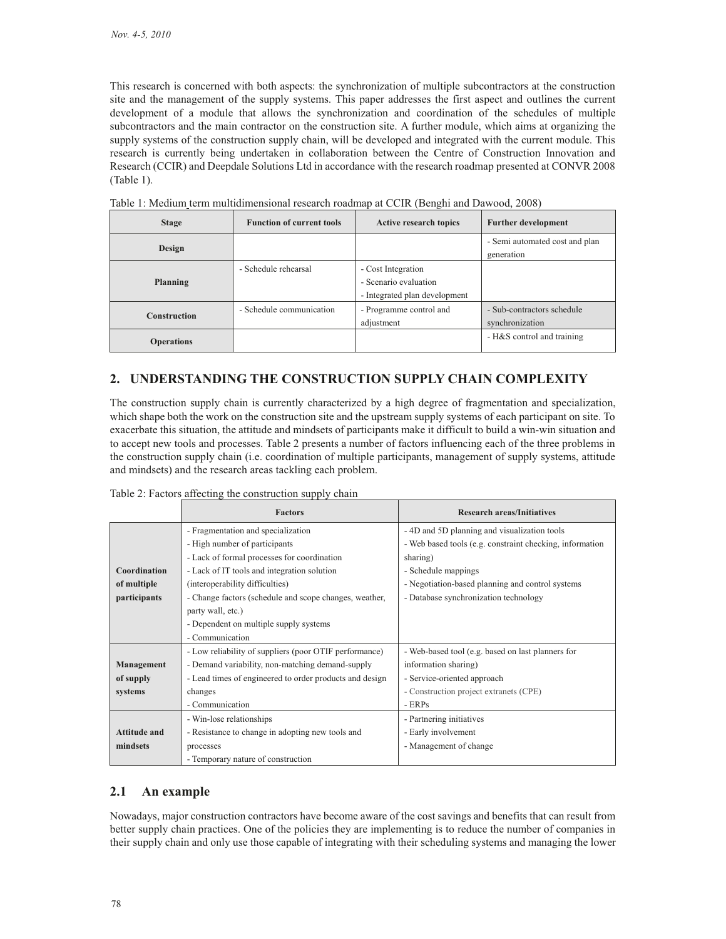This research is concerned with both aspects: the synchronization of multiple subcontractors at the construction site and the management of the supply systems. This paper addresses the first aspect and outlines the current development of a module that allows the synchronization and coordination of the schedules of multiple subcontractors and the main contractor on the construction site. A further module, which aims at organizing the supply systems of the construction supply chain, will be developed and integrated with the current module. This research is currently being undertaken in collaboration between the Centre of Construction Innovation and Research (CCIR) and Deepdale Solutions Ltd in accordance with the research roadmap presented at CONVR 2008 (Table 1).

| <b>Stage</b>        | <b>Function of current tools</b> | <b>Active research topics</b>                                                | <b>Further development</b>                    |
|---------------------|----------------------------------|------------------------------------------------------------------------------|-----------------------------------------------|
| Design              |                                  |                                                                              | - Semi automated cost and plan<br>generation  |
| Planning            | - Schedule rehearsal             | - Cost Integration<br>- Scenario evaluation<br>- Integrated plan development |                                               |
| <b>Construction</b> | - Schedule communication         | - Programme control and<br>adjustment                                        | - Sub-contractors schedule<br>synchronization |
| <b>Operations</b>   |                                  |                                                                              | - H&S control and training                    |

Table 1: Medium term multidimensional research roadmap at CCIR (Benghi and Dawood, 2008)

### **2. UNDERSTANDING THE CONSTRUCTION SUPPLY CHAIN COMPLEXITY**

The construction supply chain is currently characterized by a high degree of fragmentation and specialization, which shape both the work on the construction site and the upstream supply systems of each participant on site. To exacerbate this situation, the attitude and mindsets of participants make it difficult to build a win-win situation and to accept new tools and processes. Table 2 presents a number of factors influencing each of the three problems in the construction supply chain (i.e. coordination of multiple participants, management of supply systems, attitude and mindsets) and the research areas tackling each problem.

| Table 2: Factors affecting the construction supply chain |  |
|----------------------------------------------------------|--|
|----------------------------------------------------------|--|

|              | <b>Factors</b>                                          | <b>Research areas/Initiatives</b>                        |
|--------------|---------------------------------------------------------|----------------------------------------------------------|
|              | - Fragmentation and specialization                      | - 4D and 5D planning and visualization tools             |
|              | - High number of participants                           | - Web based tools (e.g. constraint checking, information |
|              | - Lack of formal processes for coordination             | sharing)                                                 |
| Coordination | - Lack of IT tools and integration solution             | - Schedule mappings                                      |
| of multiple  | (interoperability difficulties)                         | - Negotiation-based planning and control systems         |
| participants | - Change factors (schedule and scope changes, weather,  | - Database synchronization technology                    |
|              | party wall, etc.)                                       |                                                          |
|              | - Dependent on multiple supply systems                  |                                                          |
|              | - Communication                                         |                                                          |
|              | - Low reliability of suppliers (poor OTIF performance)  | - Web-based tool (e.g. based on last planners for        |
| Management   | - Demand variability, non-matching demand-supply        | information sharing)                                     |
| of supply    | - Lead times of engineered to order products and design | - Service-oriented approach                              |
| systems      | changes                                                 | - Construction project extranets (CPE)                   |
|              | - Communication                                         | - ERPs                                                   |
|              | - Win-lose relationships                                | - Partnering initiatives                                 |
| Attitude and | - Resistance to change in adopting new tools and        | - Early involvement                                      |
| mindsets     | processes                                               | - Management of change                                   |
|              | - Temporary nature of construction                      |                                                          |

#### **2.1 An example**

Nowadays, major construction contractors have become aware of the cost savings and benefits that can result from better supply chain practices. One of the policies they are implementing is to reduce the number of companies in their supply chain and only use those capable of integrating with their scheduling systems and managing the lower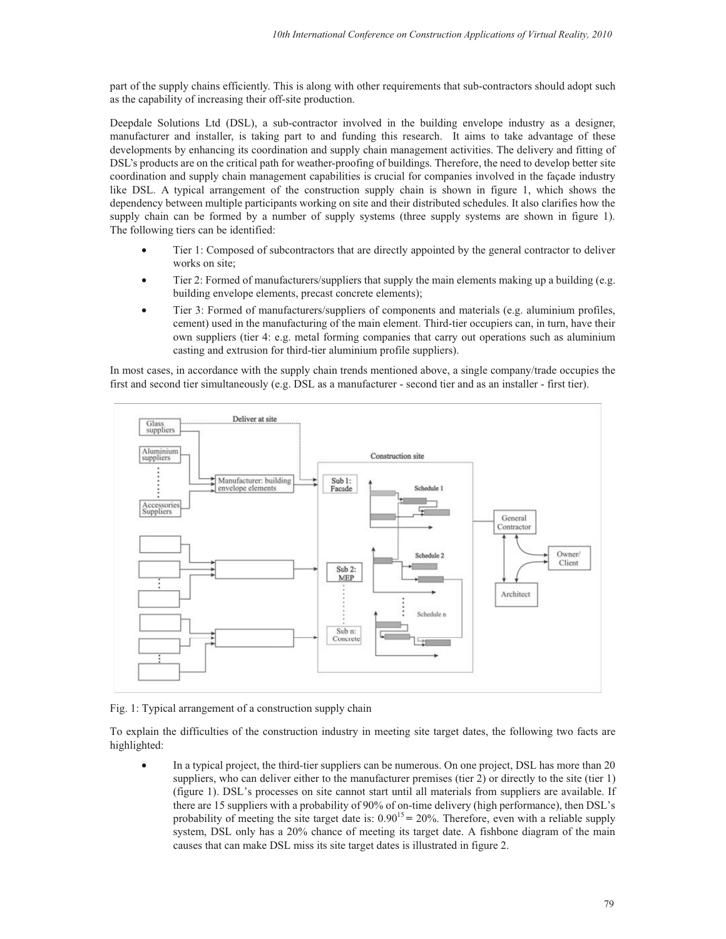part of the supply chains efficiently. This is along with other requirements that sub-contractors should adopt such as the capability of increasing their off-site production.

Deepdale Solutions Ltd (DSL), a sub-contractor involved in the building envelope industry as a designer, manufacturer and installer, is taking part to and funding this research. It aims to take advantage of these developments by enhancing its coordination and supply chain management activities. The delivery and fitting of DSL's products are on the critical path for weather-proofing of buildings. Therefore, the need to develop better site coordination and supply chain management capabilities is crucial for companies involved in the façade industry like DSL. A typical arrangement of the construction supply chain is shown in figure 1, which shows the dependency between multiple participants working on site and their distributed schedules. It also clarifies how the supply chain can be formed by a number of supply systems (three supply systems are shown in figure 1). The following tiers can be identified:

- Tier 1: Composed of subcontractors that are directly appointed by the general contractor to deliver works on site;
- Tier 2: Formed of manufacturers/suppliers that supply the main elements making up a building (e.g. building envelope elements, precast concrete elements);
- Tier 3: Formed of manufacturers/suppliers of components and materials (e.g. aluminium profiles, cement) used in the manufacturing of the main element. Third-tier occupiers can, in turn, have their own suppliers (tier 4: e.g. metal forming companies that carry out operations such as aluminium casting and extrusion for third-tier aluminium profile suppliers).

In most cases, in accordance with the supply chain trends mentioned above, a single company/trade occupies the first and second tier simultaneously (e.g. DSL as a manufacturer - second tier and as an installer - first tier).



Fig. 1: Typical arrangement of a construction supply chain

To explain the difficulties of the construction industry in meeting site target dates, the following two facts are highlighted:

• In a typical project, the third-tier suppliers can be numerous. On one project, DSL has more than 20 suppliers, who can deliver either to the manufacturer premises (tier 2) or directly to the site (tier 1) (figure 1). DSL's processes on site cannot start until all materials from suppliers are available. If there are 15 suppliers with a probability of 90% of on-time delivery (high performance), then DSL's probability of meeting the site target date is:  $0.90^{15} = 20\%$ . Therefore, even with a reliable supply system, DSL only has a 20% chance of meeting its target date. A fishbone diagram of the main causes that can make DSL miss its site target dates is illustrated in figure 2.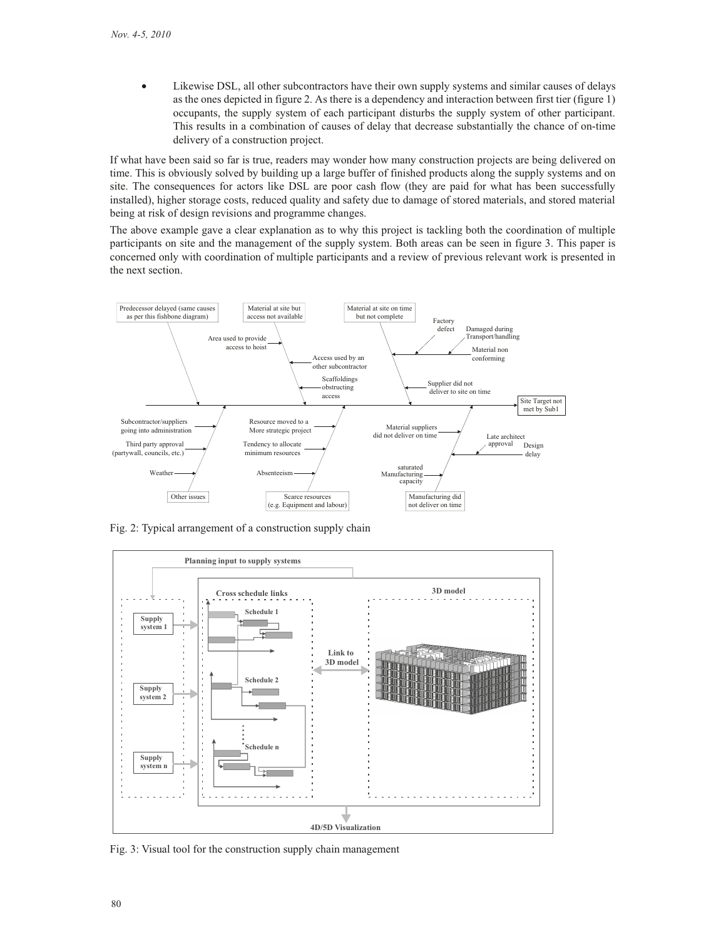• Likewise DSL, all other subcontractors have their own supply systems and similar causes of delays as the ones depicted in figure 2. As there is a dependency and interaction between first tier (figure 1) occupants, the supply system of each participant disturbs the supply system of other participant. This results in a combination of causes of delay that decrease substantially the chance of on-time delivery of a construction project.

If what have been said so far is true, readers may wonder how many construction projects are being delivered on time. This is obviously solved by building up a large buffer of finished products along the supply systems and on site. The consequences for actors like DSL are poor cash flow (they are paid for what has been successfully installed), higher storage costs, reduced quality and safety due to damage of stored materials, and stored material being at risk of design revisions and programme changes.

The above example gave a clear explanation as to why this project is tackling both the coordination of multiple participants on site and the management of the supply system. Both areas can be seen in figure 3. This paper is concerned only with coordination of multiple participants and a review of previous relevant work is presented in the next section.



Fig. 2: Typical arrangement of a construction supply chain



Fig. 3: Visual tool for the construction supply chain management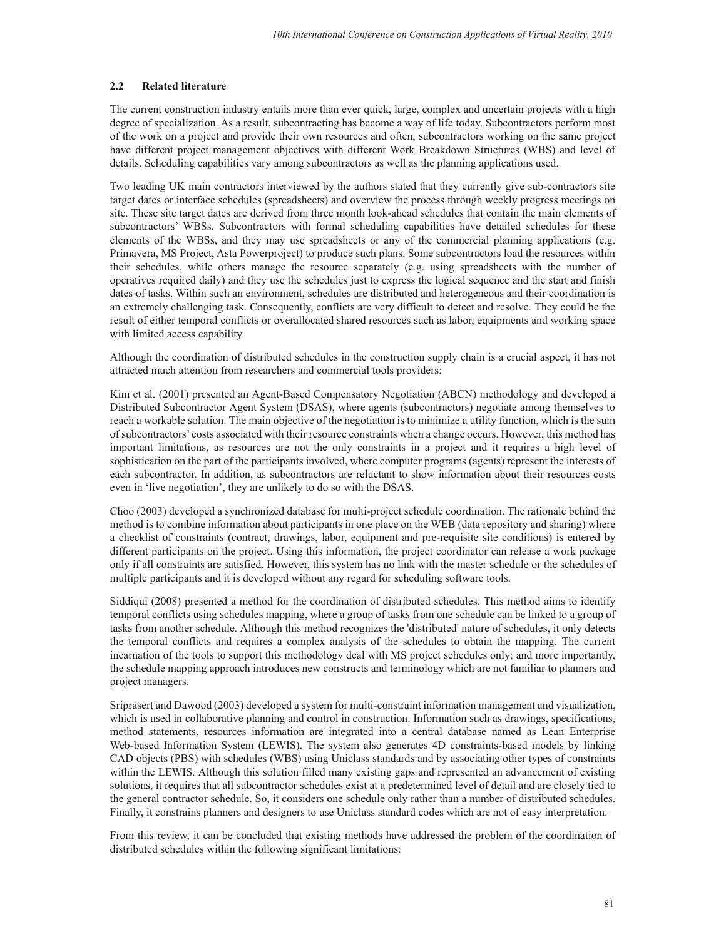#### **2.2 Related literature**

The current construction industry entails more than ever quick, large, complex and uncertain projects with a high degree of specialization. As a result, subcontracting has become a way of life today. Subcontractors perform most of the work on a project and provide their own resources and often, subcontractors working on the same project have different project management objectives with different Work Breakdown Structures (WBS) and level of details. Scheduling capabilities vary among subcontractors as well as the planning applications used.

Two leading UK main contractors interviewed by the authors stated that they currently give sub-contractors site target dates or interface schedules (spreadsheets) and overview the process through weekly progress meetings on site. These site target dates are derived from three month look-ahead schedules that contain the main elements of subcontractors' WBSs. Subcontractors with formal scheduling capabilities have detailed schedules for these elements of the WBSs, and they may use spreadsheets or any of the commercial planning applications (e.g. Primavera, MS Project, Asta Powerproject) to produce such plans. Some subcontractors load the resources within their schedules, while others manage the resource separately (e.g. using spreadsheets with the number of operatives required daily) and they use the schedules just to express the logical sequence and the start and finish dates of tasks. Within such an environment, schedules are distributed and heterogeneous and their coordination is an extremely challenging task. Consequently, conflicts are very difficult to detect and resolve. They could be the result of either temporal conflicts or overallocated shared resources such as labor, equipments and working space with limited access capability.

Although the coordination of distributed schedules in the construction supply chain is a crucial aspect, it has not attracted much attention from researchers and commercial tools providers:

Kim et al. (2001) presented an Agent-Based Compensatory Negotiation (ABCN) methodology and developed a Distributed Subcontractor Agent System (DSAS), where agents (subcontractors) negotiate among themselves to reach a workable solution. The main objective of the negotiation is to minimize a utility function, which is the sum of subcontractors' costs associated with their resource constraints when a change occurs. However, this method has important limitations, as resources are not the only constraints in a project and it requires a high level of sophistication on the part of the participants involved, where computer programs (agents) represent the interests of each subcontractor. In addition, as subcontractors are reluctant to show information about their resources costs even in 'live negotiation', they are unlikely to do so with the DSAS.

Choo (2003) developed a synchronized database for multi-project schedule coordination. The rationale behind the method is to combine information about participants in one place on the WEB (data repository and sharing) where a checklist of constraints (contract, drawings, labor, equipment and pre-requisite site conditions) is entered by different participants on the project. Using this information, the project coordinator can release a work package only if all constraints are satisfied. However, this system has no link with the master schedule or the schedules of multiple participants and it is developed without any regard for scheduling software tools.

Siddiqui (2008) presented a method for the coordination of distributed schedules. This method aims to identify temporal conflicts using schedules mapping, where a group of tasks from one schedule can be linked to a group of tasks from another schedule. Although this method recognizes the 'distributed' nature of schedules, it only detects the temporal conflicts and requires a complex analysis of the schedules to obtain the mapping. The current incarnation of the tools to support this methodology deal with MS project schedules only; and more importantly, the schedule mapping approach introduces new constructs and terminology which are not familiar to planners and project managers.

Sriprasert and Dawood (2003) developed a system for multi-constraint information management and visualization, which is used in collaborative planning and control in construction. Information such as drawings, specifications, method statements, resources information are integrated into a central database named as Lean Enterprise Web-based Information System (LEWIS). The system also generates 4D constraints-based models by linking CAD objects (PBS) with schedules (WBS) using Uniclass standards and by associating other types of constraints within the LEWIS. Although this solution filled many existing gaps and represented an advancement of existing solutions, it requires that all subcontractor schedules exist at a predetermined level of detail and are closely tied to the general contractor schedule. So, it considers one schedule only rather than a number of distributed schedules. Finally, it constrains planners and designers to use Uniclass standard codes which are not of easy interpretation.

From this review, it can be concluded that existing methods have addressed the problem of the coordination of distributed schedules within the following significant limitations: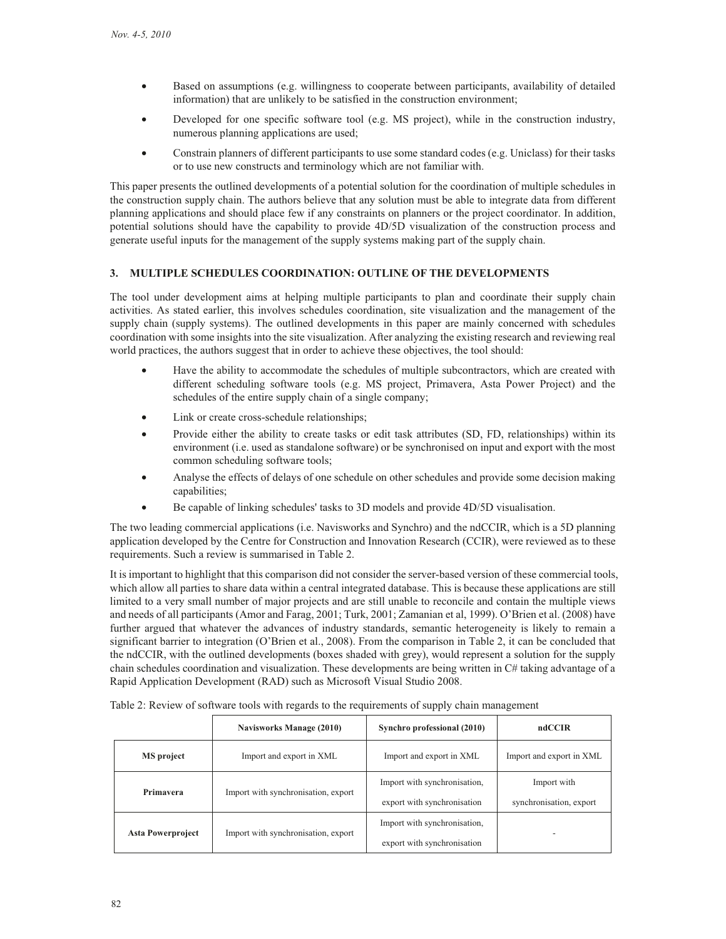- Based on assumptions (e.g. willingness to cooperate between participants, availability of detailed information) that are unlikely to be satisfied in the construction environment;
- Developed for one specific software tool (e.g. MS project), while in the construction industry, numerous planning applications are used;
- Constrain planners of different participants to use some standard codes (e.g. Uniclass) for their tasks or to use new constructs and terminology which are not familiar with.

This paper presents the outlined developments of a potential solution for the coordination of multiple schedules in the construction supply chain. The authors believe that any solution must be able to integrate data from different planning applications and should place few if any constraints on planners or the project coordinator. In addition, potential solutions should have the capability to provide 4D/5D visualization of the construction process and generate useful inputs for the management of the supply systems making part of the supply chain.

#### **3. MULTIPLE SCHEDULES COORDINATION: OUTLINE OF THE DEVELOPMENTS**

The tool under development aims at helping multiple participants to plan and coordinate their supply chain activities. As stated earlier, this involves schedules coordination, site visualization and the management of the supply chain (supply systems). The outlined developments in this paper are mainly concerned with schedules coordination with some insights into the site visualization. After analyzing the existing research and reviewing real world practices, the authors suggest that in order to achieve these objectives, the tool should:

- Have the ability to accommodate the schedules of multiple subcontractors, which are created with different scheduling software tools (e.g. MS project, Primavera, Asta Power Project) and the schedules of the entire supply chain of a single company;
- Link or create cross-schedule relationships;
- Provide either the ability to create tasks or edit task attributes (SD, FD, relationships) within its environment (i.e. used as standalone software) or be synchronised on input and export with the most common scheduling software tools;
- Analyse the effects of delays of one schedule on other schedules and provide some decision making capabilities;
- Be capable of linking schedules' tasks to 3D models and provide 4D/5D visualisation.

The two leading commercial applications (i.e. Navisworks and Synchro) and the ndCCIR, which is a 5D planning application developed by the Centre for Construction and Innovation Research (CCIR), were reviewed as to these requirements. Such a review is summarised in Table 2.

It is important to highlight that this comparison did not consider the server-based version of these commercial tools, which allow all parties to share data within a central integrated database. This is because these applications are still limited to a very small number of major projects and are still unable to reconcile and contain the multiple views and needs of all participants (Amor and Farag, 2001; Turk, 2001; Zamanian et al, 1999). O'Brien et al. (2008) have further argued that whatever the advances of industry standards, semantic heterogeneity is likely to remain a significant barrier to integration (O'Brien et al., 2008). From the comparison in Table 2, it can be concluded that the ndCCIR, with the outlined developments (boxes shaded with grey), would represent a solution for the supply chain schedules coordination and visualization. These developments are being written in C# taking advantage of a Rapid Application Development (RAD) such as Microsoft Visual Studio 2008.

|                          | <b>Navisworks Manage (2010)</b>     | Synchro professional (2010)  | ndCCIR                   |
|--------------------------|-------------------------------------|------------------------------|--------------------------|
| MS project               | Import and export in XML            | Import and export in XML     | Import and export in XML |
| Primayera                |                                     | Import with synchronisation, | Import with              |
|                          | Import with synchronisation, export | export with synchronisation  | synchronisation, export  |
|                          |                                     | Import with synchronisation, |                          |
| <b>Asta Powerproject</b> | Import with synchronisation, export | export with synchronisation  |                          |

Table 2: Review of software tools with regards to the requirements of supply chain management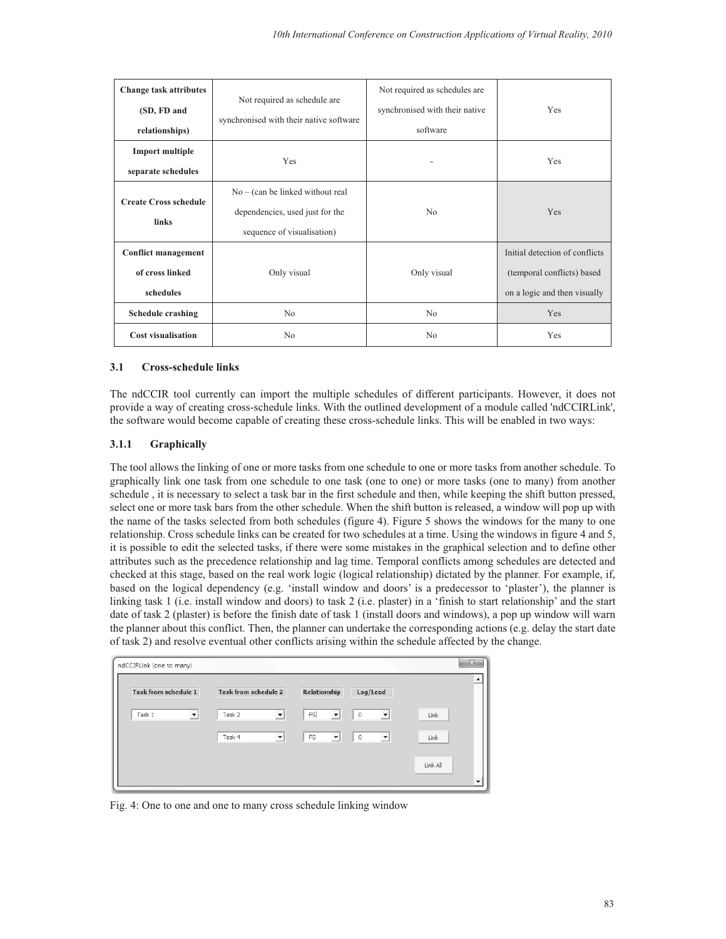| <b>Change task attributes</b><br>(SD, FD and<br>relationships) | Not required as schedule are<br>synchronised with their native software                              | Not required as schedules are<br>synchronised with their native<br>software | Yes                                                                                          |
|----------------------------------------------------------------|------------------------------------------------------------------------------------------------------|-----------------------------------------------------------------------------|----------------------------------------------------------------------------------------------|
| <b>Import multiple</b><br>separate schedules                   | Yes                                                                                                  |                                                                             | Yes                                                                                          |
| <b>Create Cross schedule</b><br>links                          | $No - (can be linked without real)$<br>dependencies, used just for the<br>sequence of visualisation) | No                                                                          | Yes                                                                                          |
| <b>Conflict management</b><br>of cross linked<br>schedules     | Only visual                                                                                          | Only visual                                                                 | Initial detection of conflicts<br>(temporal conflicts) based<br>on a logic and then visually |
| <b>Schedule crashing</b>                                       | N <sub>0</sub>                                                                                       | N <sub>o</sub>                                                              | Yes                                                                                          |
| <b>Cost visualisation</b>                                      | N <sub>0</sub>                                                                                       | No                                                                          | Yes                                                                                          |

#### **3.1 Cross-schedule links**

The ndCCIR tool currently can import the multiple schedules of different participants. However, it does not provide a way of creating cross-schedule links. With the outlined development of a module called 'ndCCIRLink', the software would become capable of creating these cross-schedule links. This will be enabled in two ways:

#### **3.1.1 Graphically**

The tool allows the linking of one or more tasks from one schedule to one or more tasks from another schedule. To graphically link one task from one schedule to one task (one to one) or more tasks (one to many) from another schedule , it is necessary to select a task bar in the first schedule and then, while keeping the shift button pressed, select one or more task bars from the other schedule. When the shift button is released, a window will pop up with the name of the tasks selected from both schedules (figure 4). Figure 5 shows the windows for the many to one relationship. Cross schedule links can be created for two schedules at a time. Using the windows in figure 4 and 5, it is possible to edit the selected tasks, if there were some mistakes in the graphical selection and to define other attributes such as the precedence relationship and lag time. Temporal conflicts among schedules are detected and checked at this stage, based on the real work logic (logical relationship) dictated by the planner. For example, if, based on the logical dependency (e.g. 'install window and doors' is a predecessor to 'plaster'), the planner is linking task 1 (i.e. install window and doors) to task 2 (i.e. plaster) in a 'finish to start relationship' and the start date of task 2 (plaster) is before the finish date of task 1 (install doors and windows), a pop up window will warn the planner about this conflict. Then, the planner can undertake the corresponding actions (e.g. delay the start date of task 2) and resolve eventual other conflicts arising within the schedule affected by the change.

| ndCCIRLink (one to many)           |                                    |                                |                           | $\Sigma$ |
|------------------------------------|------------------------------------|--------------------------------|---------------------------|----------|
| <b>Task from schedule 1</b>        | <b>Task from schedule 2</b>        | Relationship                   | Lag/Lead                  |          |
| $\overline{\phantom{a}}$<br>Task 1 | Task 2<br>$\blacktriangledown$     | $\overline{\phantom{a}}$<br>FS | 츠<br>$\circ$              | Link     |
|                                    | $\overline{\phantom{a}}$<br>Task 4 | FS<br>츠                        | $\overline{ }$<br>$\circ$ | Link     |
|                                    |                                    |                                |                           | Link All |
|                                    |                                    |                                |                           |          |

Fig. 4: One to one and one to many cross schedule linking window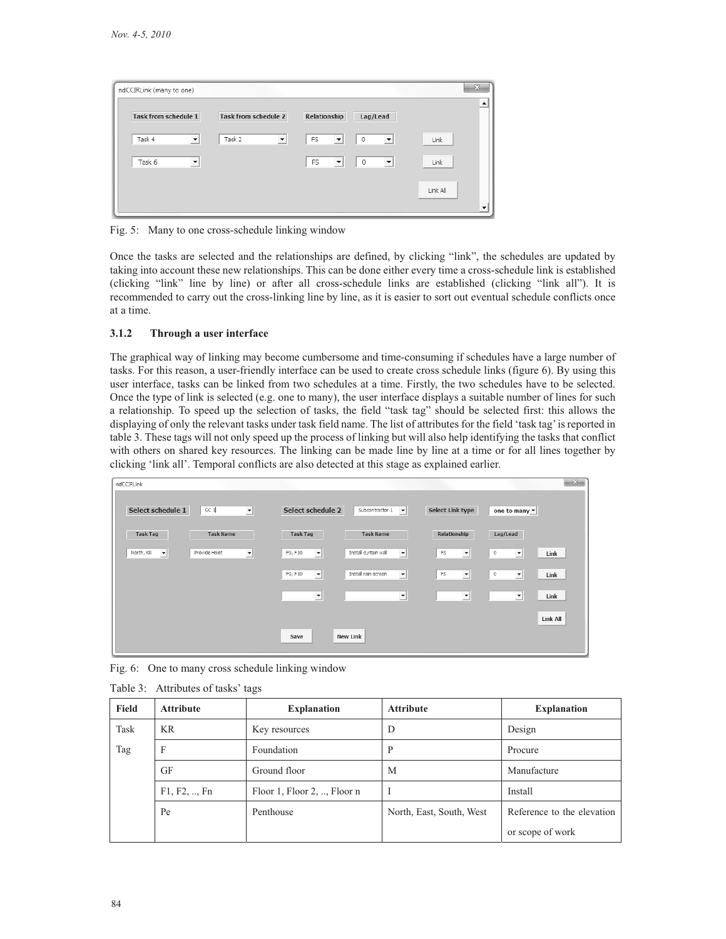| ndCCIRLink (many to one)           |                                    |                      |                     |          |
|------------------------------------|------------------------------------|----------------------|---------------------|----------|
| Task from schedule 1               | Task from schedule 2               | Relationship         | Lag/Lead            |          |
| $\overline{\phantom{a}}$<br>Task 4 | $\overline{\phantom{a}}$<br>Task 2 | $\overline{ }$<br>FS | 회<br>$\circ$        | Link     |
| $\overline{ }$<br>Task 6           |                                    | F<br>FS              | ᆂ<br>$\overline{0}$ | Link     |
|                                    |                                    |                      |                     | Link All |
|                                    |                                    |                      |                     |          |

Fig. 5: Many to one cross-schedule linking window

Once the tasks are selected and the relationships are defined, by clicking "link", the schedules are updated by taking into account these new relationships. This can be done either every time a cross-schedule link is established (clicking "link" line by line) or after all cross-schedule links are established (clicking "link all"). It is recommended to carry out the cross-linking line by line, as it is easier to sort out eventual schedule conflicts once at a time.

#### **3.1.2 Through a user interface**

The graphical way of linking may become cumbersome and time-consuming if schedules have a large number of tasks. For this reason, a user-friendly interface can be used to create cross schedule links (figure 6). By using this user interface, tasks can be linked from two schedules at a time. Firstly, the two schedules have to be selected. Once the type of link is selected (e.g. one to many), the user interface displays a suitable number of lines for such a relationship. To speed up the selection of tasks, the field "task tag" should be selected first: this allows the displaying of only the relevant tasks under task field name. The list of attributes for the field 'task tag' is reported in table 3. These tags will not only speed up the process of linking but will also help identifying the tasks that conflict with others on shared key resources. The linking can be made line by line at a time or for all lines together by clicking 'link all'. Temporal conflicts are also detected at this stage as explained earlier.

| ndCCIRLink        |                  |   |                           |                           |                  |                          | $\mathbf{x}$ |
|-------------------|------------------|---|---------------------------|---------------------------|------------------|--------------------------|--------------|
| Select schedule 1 | GC 1             | 그 | Select schedule 2         | Subcontractor 1<br>ᅬ      | Select Link type | one to many $\mathbf{v}$ |              |
| <b>Task Tag</b>   | <b>Task Name</b> |   | <b>Task Tag</b>           | <b>Task Name</b>          | Relationship     | Lag/Lead                 |              |
| North, KR<br>츠    | Provide Hoist    | E | $\overline{ }$<br>F9, F10 | Install curtain wall<br>ᆀ | FS<br>ᅬ          | ≛<br>0                   | Link         |
|                   |                  |   | $\overline{ }$<br>F9, F10 | Install rain screen<br>회  | 그<br>FS          | 그<br>$\,0\,$             | Link         |
|                   |                  |   | $\overline{ }$            | 킈                         | 그                | 그                        | Link         |
|                   |                  |   |                           |                           |                  |                          | Link All     |
|                   |                  |   | Save                      | <b>New Link</b>           |                  |                          |              |

Fig. 6: One to many cross schedule linking window

| Field | <b>Attribute</b> | <b>Explanation</b>          | <b>Attribute</b>         | <b>Explanation</b>         |
|-------|------------------|-----------------------------|--------------------------|----------------------------|
| Task  | <b>KR</b>        | Key resources               | D                        | Design                     |
| Tag   | F                | Foundation                  | P                        | Procure                    |
|       | GF               | Ground floor                | M                        | Manufacture                |
|       | F1, F2, , Fn     | Floor 1, Floor 2, , Floor n | I                        | Install                    |
|       | Pe               | Penthouse                   | North, East, South, West | Reference to the elevation |
|       |                  |                             |                          | or scope of work           |

Table 3: Attributes of tasks' tags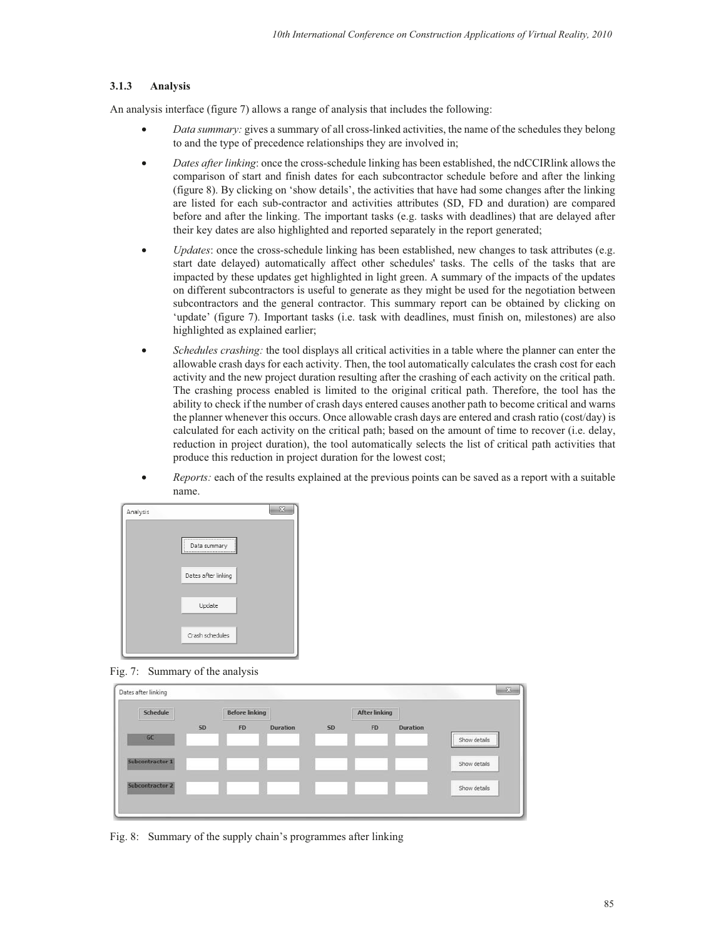#### **3.1.3 Analysis**

An analysis interface (figure 7) allows a range of analysis that includes the following:

- *Data summary:* gives a summary of all cross-linked activities, the name of the schedules they belong to and the type of precedence relationships they are involved in;
- *Dates after linking*: once the cross-schedule linking has been established, the ndCCIRlink allows the comparison of start and finish dates for each subcontractor schedule before and after the linking (figure 8). By clicking on 'show details', the activities that have had some changes after the linking are listed for each sub-contractor and activities attributes (SD, FD and duration) are compared before and after the linking. The important tasks (e.g. tasks with deadlines) that are delayed after their key dates are also highlighted and reported separately in the report generated;
- *Updates*: once the cross-schedule linking has been established, new changes to task attributes (e.g. start date delayed) automatically affect other schedules' tasks. The cells of the tasks that are impacted by these updates get highlighted in light green. A summary of the impacts of the updates on different subcontractors is useful to generate as they might be used for the negotiation between subcontractors and the general contractor. This summary report can be obtained by clicking on 'update' (figure 7). Important tasks (i.e. task with deadlines, must finish on, milestones) are also highlighted as explained earlier;
- *Schedules crashing:* the tool displays all critical activities in a table where the planner can enter the allowable crash days for each activity. Then, the tool automatically calculates the crash cost for each activity and the new project duration resulting after the crashing of each activity on the critical path. The crashing process enabled is limited to the original critical path. Therefore, the tool has the ability to check if the number of crash days entered causes another path to become critical and warns the planner whenever this occurs. Once allowable crash days are entered and crash ratio (cost/day) is calculated for each activity on the critical path; based on the amount of time to recover (i.e. delay, reduction in project duration), the tool automatically selects the list of critical path activities that produce this reduction in project duration for the lowest cost;
- *Reports:* each of the results explained at the previous points can be saved as a report with a suitable name.





| Schedule        |    | <b>Before linking</b> |          |    | After linking |          |              |
|-----------------|----|-----------------------|----------|----|---------------|----------|--------------|
|                 | SD | <b>FD</b>             | Duration | SD | <b>FD</b>     | Duration |              |
| GC              |    |                       |          |    |               |          | Show details |
|                 |    |                       |          |    |               |          |              |
| Subcontractor 1 |    |                       |          |    |               |          | Show details |
|                 |    |                       |          |    |               |          |              |
| Subcontractor 2 |    |                       |          |    |               |          | Show details |

Fig. 8: Summary of the supply chain's programmes after linking